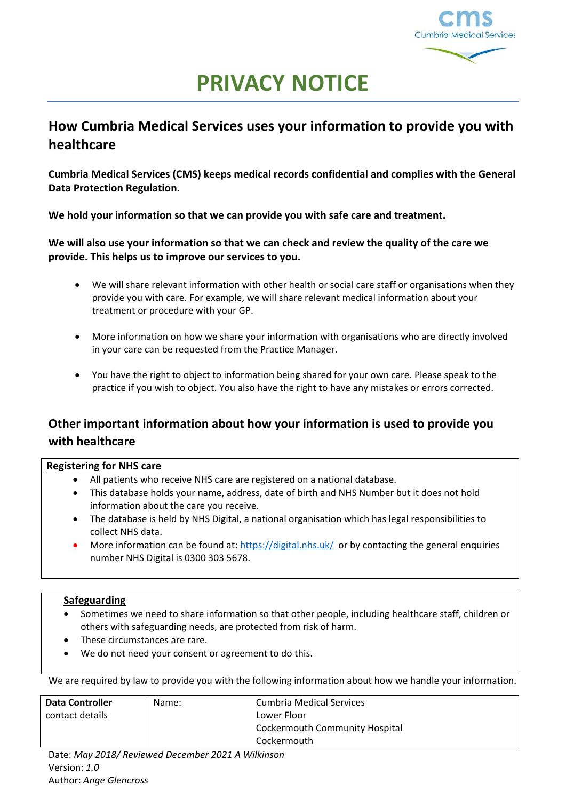

# **PRIVACY NOTICE**

# **How Cumbria Medical Services uses your information to provide you with healthcare**

**Cumbria Medical Services (CMS) keeps medical records confidential and complies with the General Data Protection Regulation.**

**We hold your information so that we can provide you with safe care and treatment.** 

**We will also use your information so that we can check and review the quality of the care we provide. This helps us to improve our services to you.** 

- We will share relevant information with other health or social care staff or organisations when they provide you with care. For example, we will share relevant medical information about your treatment or procedure with your GP.
- More information on how we share your information with organisations who are directly involved in your care can be requested from the Practice Manager.
- You have the right to object to information being shared for your own care. Please speak to the practice if you wish to object. You also have the right to have any mistakes or errors corrected.

# **Other important information about how your information is used to provide you with healthcare**

### **Registering for NHS care**

- All patients who receive NHS care are registered on a national database.
- This database holds your name, address, date of birth and NHS Number but it does not hold information about the care you receive.
- The database is held by NHS Digital, a national organisation which has legal responsibilities to collect NHS data.
- More information can be found at[: https://digital.nhs.uk/](https://digital.nhs.uk/) or by contacting the general enquiries number NHS Digital is 0300 303 5678.

### **Safeguarding**

- Sometimes we need to share information so that other people, including healthcare staff, children or others with safeguarding needs, are protected from risk of harm.
- These circumstances are rare.
- We do not need your consent or agreement to do this.

We are required by law to provide you with the following information about how we handle your information.

| <b>Data Controller</b>                                | Name: | Cumbria Medical Services              |
|-------------------------------------------------------|-------|---------------------------------------|
| contact details                                       |       | Lower Floor                           |
|                                                       |       | <b>Cockermouth Community Hospital</b> |
|                                                       |       | Cockermouth                           |
| Detaillers 2010/Devisional Desamber 2021 A 14/illians |       |                                       |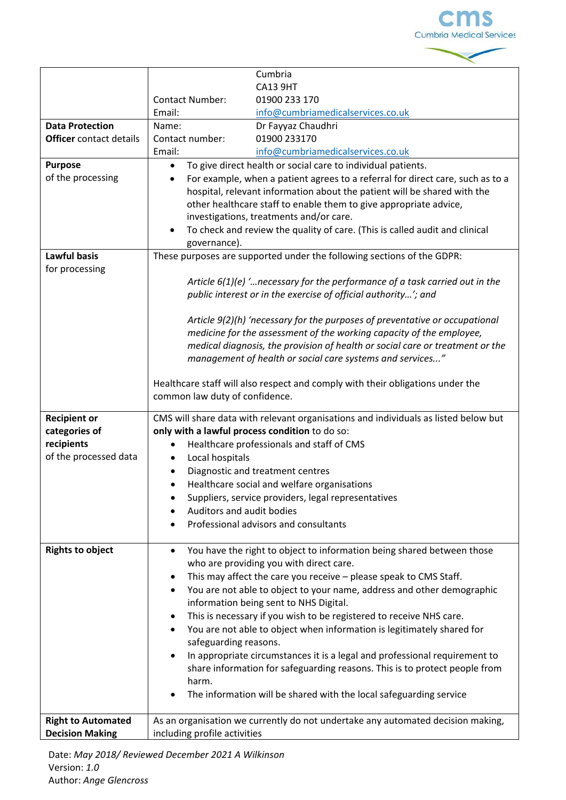

|                                                     | Cumbria                                                                                                         |
|-----------------------------------------------------|-----------------------------------------------------------------------------------------------------------------|
|                                                     | <b>CA13 9HT</b>                                                                                                 |
|                                                     | <b>Contact Number:</b><br>01900 233 170                                                                         |
|                                                     | Email:<br>info@cumbriamedicalservices.co.uk                                                                     |
| <b>Data Protection</b>                              | Name:<br>Dr Fayyaz Chaudhri                                                                                     |
| <b>Officer</b> contact details                      | Contact number:<br>01900 233170                                                                                 |
|                                                     | Email:<br>info@cumbriamedicalservices.co.uk                                                                     |
| <b>Purpose</b>                                      | To give direct health or social care to individual patients.<br>$\bullet$                                       |
| of the processing                                   | For example, when a patient agrees to a referral for direct care, such as to a<br>$\bullet$                     |
|                                                     | hospital, relevant information about the patient will be shared with the                                        |
|                                                     | other healthcare staff to enable them to give appropriate advice,                                               |
|                                                     | investigations, treatments and/or care.                                                                         |
|                                                     | To check and review the quality of care. (This is called audit and clinical<br>$\bullet$                        |
|                                                     | governance).                                                                                                    |
| <b>Lawful basis</b>                                 | These purposes are supported under the following sections of the GDPR:                                          |
| for processing                                      |                                                                                                                 |
|                                                     | Article $6(1)(e)$ " necessary for the performance of a task carried out in the                                  |
|                                                     | public interest or in the exercise of official authority'; and                                                  |
|                                                     |                                                                                                                 |
|                                                     | Article 9(2)(h) 'necessary for the purposes of preventative or occupational                                     |
|                                                     | medicine for the assessment of the working capacity of the employee,                                            |
|                                                     | medical diagnosis, the provision of health or social care or treatment or the                                   |
|                                                     | management of health or social care systems and services"                                                       |
|                                                     |                                                                                                                 |
|                                                     | Healthcare staff will also respect and comply with their obligations under the                                  |
|                                                     | common law duty of confidence.                                                                                  |
|                                                     |                                                                                                                 |
| <b>Recipient or</b>                                 | CMS will share data with relevant organisations and individuals as listed below but                             |
| categories of                                       | only with a lawful process condition to do so:                                                                  |
| recipients                                          | Healthcare professionals and staff of CMS                                                                       |
| of the processed data                               | Local hospitals<br>٠                                                                                            |
|                                                     | Diagnostic and treatment centres                                                                                |
|                                                     | Healthcare social and welfare organisations                                                                     |
|                                                     | Suppliers, service providers, legal representatives<br>٠                                                        |
|                                                     | Auditors and audit bodies                                                                                       |
|                                                     | Professional advisors and consultants                                                                           |
|                                                     |                                                                                                                 |
| <b>Rights to object</b>                             |                                                                                                                 |
|                                                     | You have the right to object to information being shared between those<br>$\bullet$                             |
|                                                     | who are providing you with direct care.                                                                         |
|                                                     | This may affect the care you receive - please speak to CMS Staff.<br>٠                                          |
|                                                     | You are not able to object to your name, address and other demographic<br>٠                                     |
|                                                     | information being sent to NHS Digital.                                                                          |
|                                                     | This is necessary if you wish to be registered to receive NHS care.<br>$\bullet$                                |
|                                                     | You are not able to object when information is legitimately shared for                                          |
|                                                     | safeguarding reasons.                                                                                           |
|                                                     | In appropriate circumstances it is a legal and professional requirement to<br>$\bullet$                         |
|                                                     | share information for safeguarding reasons. This is to protect people from                                      |
|                                                     | harm.                                                                                                           |
|                                                     | The information will be shared with the local safeguarding service                                              |
|                                                     |                                                                                                                 |
|                                                     |                                                                                                                 |
| <b>Right to Automated</b><br><b>Decision Making</b> | As an organisation we currently do not undertake any automated decision making,<br>including profile activities |